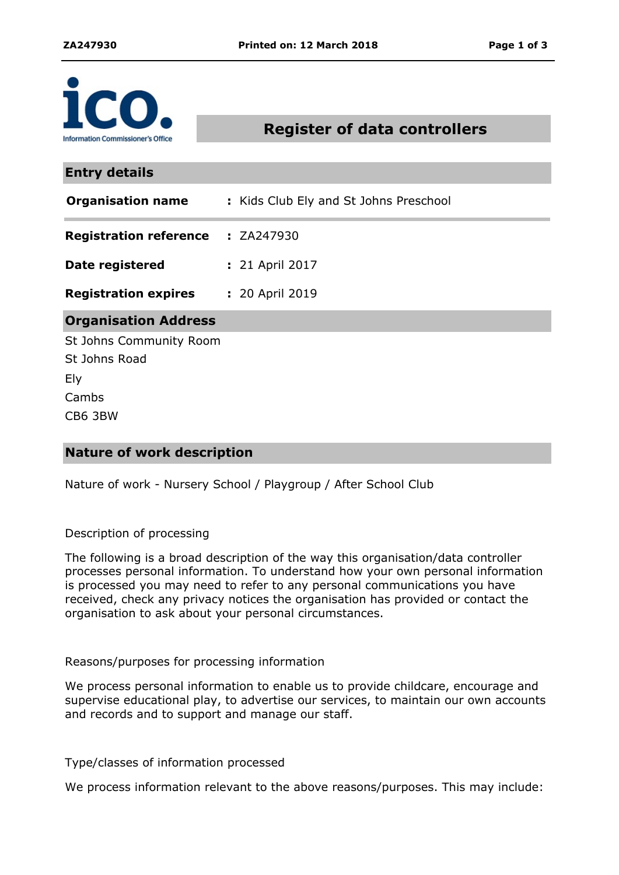

# **Register of data controllers**

**Organisation Address Entry details Registration reference Registration expires** ZA247930 **:** 20 April 2019 **:** St Johns Community Room St Johns Road Ely Cambs **Organisation name :** Kids Club Ely and St Johns Preschool **Date registered :** 21 April 2017

CB6 3BW

## **Nature of work description**

Nature of work - Nursery School / Playgroup / After School Club

#### Description of processing

The following is a broad description of the way this organisation/data controller processes personal information. To understand how your own personal information is processed you may need to refer to any personal communications you have received, check any privacy notices the organisation has provided or contact the organisation to ask about your personal circumstances.

#### Reasons/purposes for processing information

We process personal information to enable us to provide childcare, encourage and supervise educational play, to advertise our services, to maintain our own accounts and records and to support and manage our staff.

Type/classes of information processed

We process information relevant to the above reasons/purposes. This may include: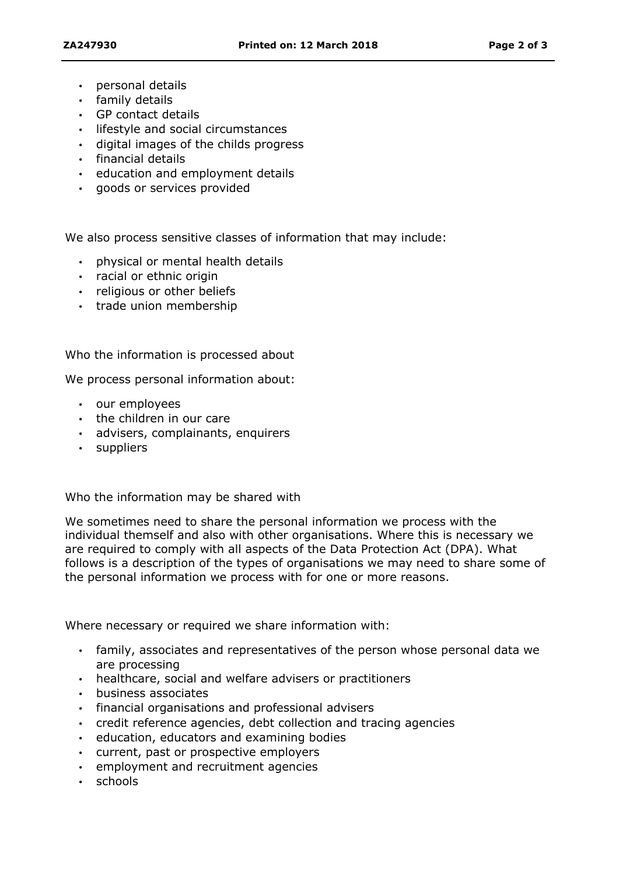- personal details
- $\cdot$  family details
- GP contact details
- lifestyle and social circumstances
- digital images of the childs progress
- $\cdot$  financial details
- education and employment details
- goods or services provided

We also process sensitive classes of information that may include:

- physical or mental health details
- racial or ethnic origin
- religious or other beliefs
- trade union membership

Who the information is processed about

We process personal information about:

- our employees
- $\cdot$  the children in our care
- advisers, complainants, enquirers
- suppliers

Who the information may be shared with

We sometimes need to share the personal information we process with the individual themself and also with other organisations. Where this is necessary we are required to comply with all aspects of the Data Protection Act (DPA). What follows is a description of the types of organisations we may need to share some of the personal information we process with for one or more reasons.

Where necessary or required we share information with:

- family, associates and representatives of the person whose personal data we are processing
- healthcare, social and welfare advisers or practitioners
- business associates
- $\cdot$  financial organisations and professional advisers
- credit reference agencies, debt collection and tracing agencies
- education, educators and examining bodies
- current, past or prospective employers
- $\cdot$  employment and recruitment agencies
- schools